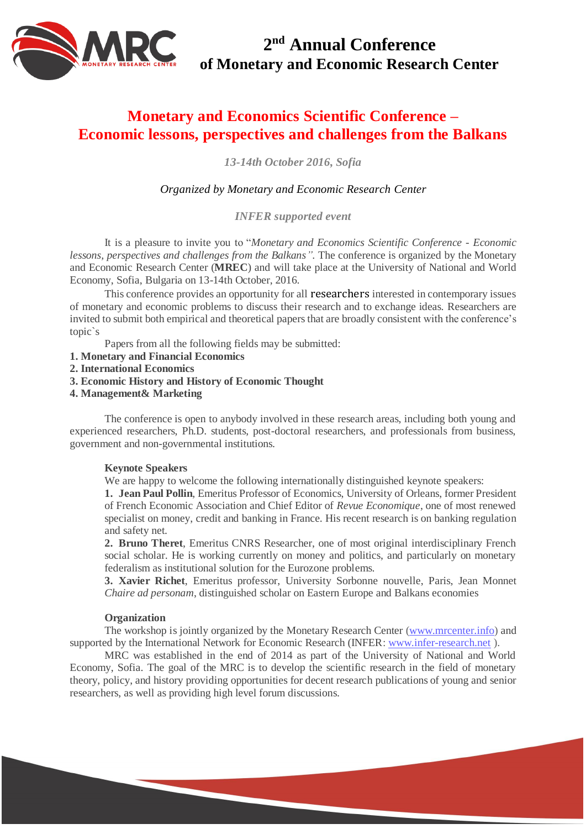

**2 nd Annual Conference of Monetary and Economic Research Center** 

# **Monetary and Economics Scientific Conference – Economic lessons, perspectives and challenges from the Balkans**

*13-14th October 2016, Sofia*

# *Organized by Monetary and Economic Research Center*

*INFER supported event*

It is a pleasure to invite you to "*Monetary and Economics Scientific Conference - Economic lessons, perspectives and challenges from the Balkans".* The conference is organized by the Monetary and Economic Research Center (**MREC**) and will take place at the University of National and World Economy, Sofia, Bulgaria on 13-14th October, 2016.

This conference provides an opportunity for all researchers interested in contemporary issues of monetary and economic problems to discuss their research and to exchange ideas. Researchers are invited to submit both empirical and theoretical papers that are broadly consistent with the conference's topic`s

Papers from all the following fields may be submitted:

- **1. Monetary and Financial Economics**
- **2. International Economics**
- **3. Economic History and History of Economic Thought**
- **4. Management& Marketing**

The conference is open to anybody involved in these research areas, including both young and experienced researchers, Ph.D. students, post-doctoral researchers, and professionals from business, government and non-governmental institutions.

## **Keynote Speakers**

We are happy to welcome the following internationally distinguished keynote speakers:

**1. Jean Paul Pollin**, Emeritus Professor of Economics, University of Orleans, former President of French Economic Association and Chief Editor of *Revue Economique*, one of most renewed specialist on money, credit and banking in France. His recent research is on banking regulation and safety net.

**2. Bruno Theret**, Emeritus CNRS Researcher, one of most original interdisciplinary French social scholar. He is working currently on money and politics, and particularly on monetary federalism as institutional solution for the Eurozone problems.

**3. Xavier Richet**, Emeritus professor, University Sorbonne nouvelle, Paris, Jean Monnet *Chaire ad personam*, distinguished scholar on Eastern Europe and Balkans economies

#### **Organization**

The workshop is jointly organized by the Monetary Research Center [\(www.mrcenter.info\)](http://www.mrcenter.info/) and supported by the International Network for Economic Research (INFER[: www.infer-research.net](http://www.infer-research.net/) ).

MRC was established in the end of 2014 as part of the University of National and World Economy, Sofia. The goal of the MRC is to develop the scientific research in the field of monetary theory, policy, and history providing opportunities for decent research publications of young and senior researchers, as well as providing high level forum discussions.